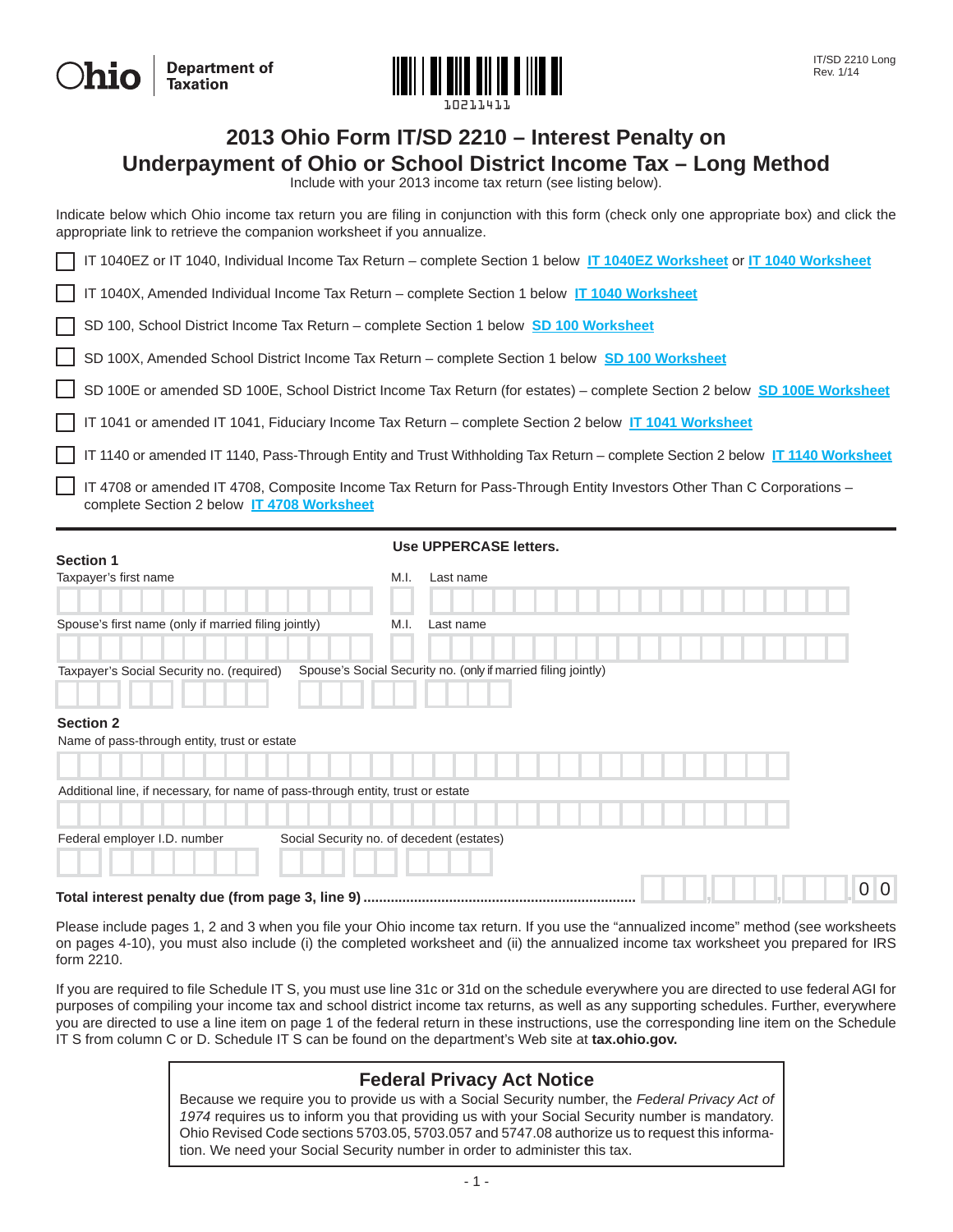| <b>Ohio</b> | <b>Department of</b><br>Taxation |
|-------------|----------------------------------|
|-------------|----------------------------------|



# **2013 Ohio Form IT/SD 2210 – Interest Penalty on**

**Underpayment of Ohio or School District Income Tax – Long Method**

Include with your 2013 income tax return (see listing below).

Indicate below which Ohio income tax return you are filing in conjunction with this form (check only one appropriate box) and click the appropriate link to retrieve the companion worksheet if you annualize.

IT 1040EZ or IT 1040, Individual Income Tax Return – complete Section 1 below **[IT 1040EZ Worksheet](#page-3-0)** or **[IT 1040 Worksheet](#page-4-0)**

IT 1040X, Amended Individual Income Tax Return – complete Section 1 below **[IT 1040 Worksheet](#page-4-0)**

SD 100, School District Income Tax Return – complete Section 1 below **[SD 100 Worksheet](#page-5-0)**

SD 100X, Amended School District Income Tax Return – complete Section 1 below **[SD 100 Worksheet](#page-5-0)**

SD 100E or amended SD 100E, School District Income Tax Return (for estates) – complete Section 2 below **[SD 100E Worksheet](#page-6-0)**

IT 1041 or amended IT 1041, Fiduciary Income Tax Return – complete Section 2 below **[IT 1041 Worksheet](#page-7-0)**

IT 1140 or amended IT 1140, Pass-Through Entity and Trust Withholding Tax Return – complete Section 2 below **[IT 1140 Worksheet](#page-8-0)**

 IT 4708 or amended IT 4708, Composite Income Tax Return for Pass-Through Entity Investors Other Than C Corporations – complete Section 2 below **[IT 4708 Worksheet](#page-9-0)**

| <b>Section 1</b>                                                                |                                           |      | Use UPPERCASE letters.                                        |  |  |  |  |  |  |                |
|---------------------------------------------------------------------------------|-------------------------------------------|------|---------------------------------------------------------------|--|--|--|--|--|--|----------------|
| Taxpayer's first name                                                           |                                           | M.I. | Last name                                                     |  |  |  |  |  |  |                |
| Spouse's first name (only if married filing jointly)                            |                                           | M.I. | Last name                                                     |  |  |  |  |  |  |                |
| Taxpayer's Social Security no. (required)                                       |                                           |      | Spouse's Social Security no. (only if married filing jointly) |  |  |  |  |  |  |                |
| <b>Section 2</b><br>Name of pass-through entity, trust or estate                |                                           |      |                                                               |  |  |  |  |  |  |                |
|                                                                                 |                                           |      |                                                               |  |  |  |  |  |  |                |
| Additional line, if necessary, for name of pass-through entity, trust or estate |                                           |      |                                                               |  |  |  |  |  |  |                |
| Federal employer I.D. number                                                    | Social Security no. of decedent (estates) |      |                                                               |  |  |  |  |  |  |                |
| Total interest penalty due (from page 3, line 9) ………………………………………………………………       |                                           |      |                                                               |  |  |  |  |  |  | 0 <sup>0</sup> |

Please include pages 1, 2 and 3 when you file your Ohio income tax return. If you use the "annualized income" method (see worksheets on pages 4-10), you must also include (i) the completed worksheet and (ii) the annualized income tax worksheet you prepared for IRS form 2210.

If you are required to file Schedule IT S, you must use line 31c or 31d on the schedule everywhere you are directed to use federal AGI for purposes of compiling your income tax and school district income tax returns, as well as any supporting schedules. Further, everywhere you are directed to use a line item on page 1 of the federal return in these instructions, use the corresponding line item on the Schedule IT S from column C or D. Schedule IT S can be found on the department's Web site at **tax.ohio.gov.**

### **Federal Privacy Act Notice**

Because we require you to provide us with a Social Security number, the *Federal Privacy Act of 1974* requires us to inform you that providing us with your Social Security number is mandatory. Ohio Revised Code sections 5703.05, 5703.057 and 5747.08 authorize us to request this information. We need your Social Security number in order to administer this tax.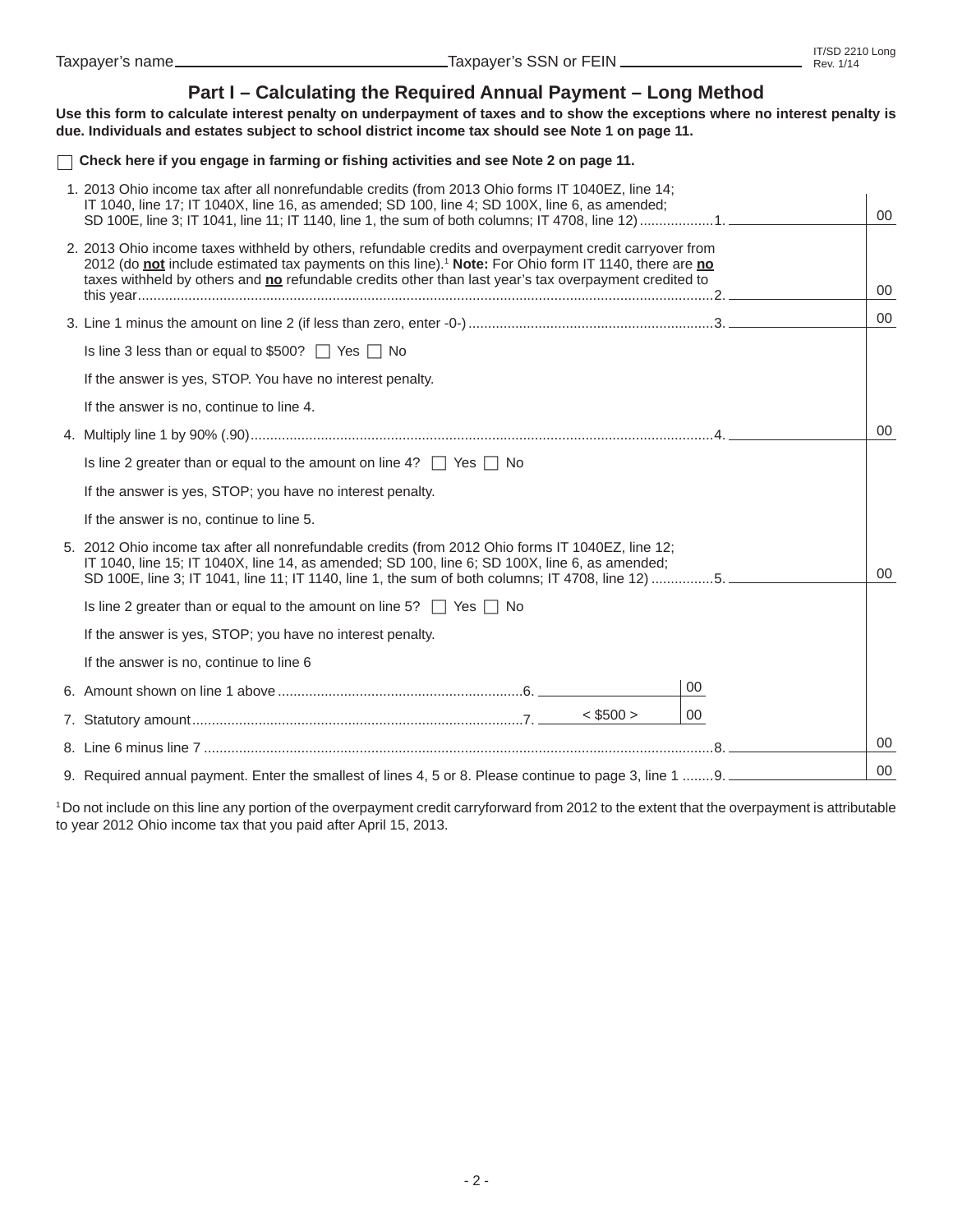### **Part I – Calculating the Required Annual Payment – Long Method**

**Use this form to calculate interest penalty on underpayment of taxes and to show the exceptions where no interest penalty is due. Individuals and estates subject to school district income tax should see Note 1 on page 11.** 

 **Check here if you engage in farming or fi shing activities and see Note 2 on page 11.**

| 1. 2013 Ohio income tax after all nonrefundable credits (from 2013 Ohio forms IT 1040EZ, line 14;<br>IT 1040, line 17; IT 1040X, line 16, as amended; SD 100, line 4; SD 100X, line 6, as amended;<br>SD 100E, line 3; IT 1041, line 11; IT 1140, line 1, the sum of both columns; IT 4708, line 12) 1.                              |    | 00 |
|--------------------------------------------------------------------------------------------------------------------------------------------------------------------------------------------------------------------------------------------------------------------------------------------------------------------------------------|----|----|
| 2. 2013 Ohio income taxes withheld by others, refundable credits and overpayment credit carryover from<br>2012 (do not include estimated tax payments on this line). <sup>1</sup> Note: For Ohio form IT 1140, there are no<br>taxes withheld by others and no refundable credits other than last year's tax overpayment credited to |    | 00 |
|                                                                                                                                                                                                                                                                                                                                      |    | 00 |
| Is line 3 less than or equal to \$500? $\Box$ Yes $\Box$ No                                                                                                                                                                                                                                                                          |    |    |
| If the answer is yes, STOP. You have no interest penalty.                                                                                                                                                                                                                                                                            |    |    |
| If the answer is no, continue to line 4.                                                                                                                                                                                                                                                                                             |    |    |
|                                                                                                                                                                                                                                                                                                                                      |    | 00 |
| Is line 2 greater than or equal to the amount on line 4? $\Box$ Yes $\Box$ No                                                                                                                                                                                                                                                        |    |    |
| If the answer is yes, STOP; you have no interest penalty.                                                                                                                                                                                                                                                                            |    |    |
| If the answer is no, continue to line 5.                                                                                                                                                                                                                                                                                             |    |    |
| 5. 2012 Ohio income tax after all nonrefundable credits (from 2012 Ohio forms IT 1040EZ, line 12;<br>IT 1040, line 15; IT 1040X, line 14, as amended; SD 100, line 6; SD 100X, line 6, as amended;<br>SD 100E, line 3; IT 1041, line 11; IT 1140, line 1, the sum of both columns; IT 4708, line 12) 5.                              |    | 00 |
| Is line 2 greater than or equal to the amount on line 5? $\Box$ Yes $\Box$ No                                                                                                                                                                                                                                                        |    |    |
| If the answer is yes, STOP; you have no interest penalty.                                                                                                                                                                                                                                                                            |    |    |
| If the answer is no, continue to line 6                                                                                                                                                                                                                                                                                              |    |    |
|                                                                                                                                                                                                                                                                                                                                      | 00 |    |
| $<$ \$500 $>$                                                                                                                                                                                                                                                                                                                        | 00 |    |
|                                                                                                                                                                                                                                                                                                                                      |    | 00 |
| 9. Required annual payment. Enter the smallest of lines 4, 5 or 8. Please continue to page 3, line 1 9.                                                                                                                                                                                                                              |    | 00 |

1 Do not include on this line any portion of the overpayment credit carryforward from 2012 to the extent that the overpayment is attributable to year 2012 Ohio income tax that you paid after April 15, 2013.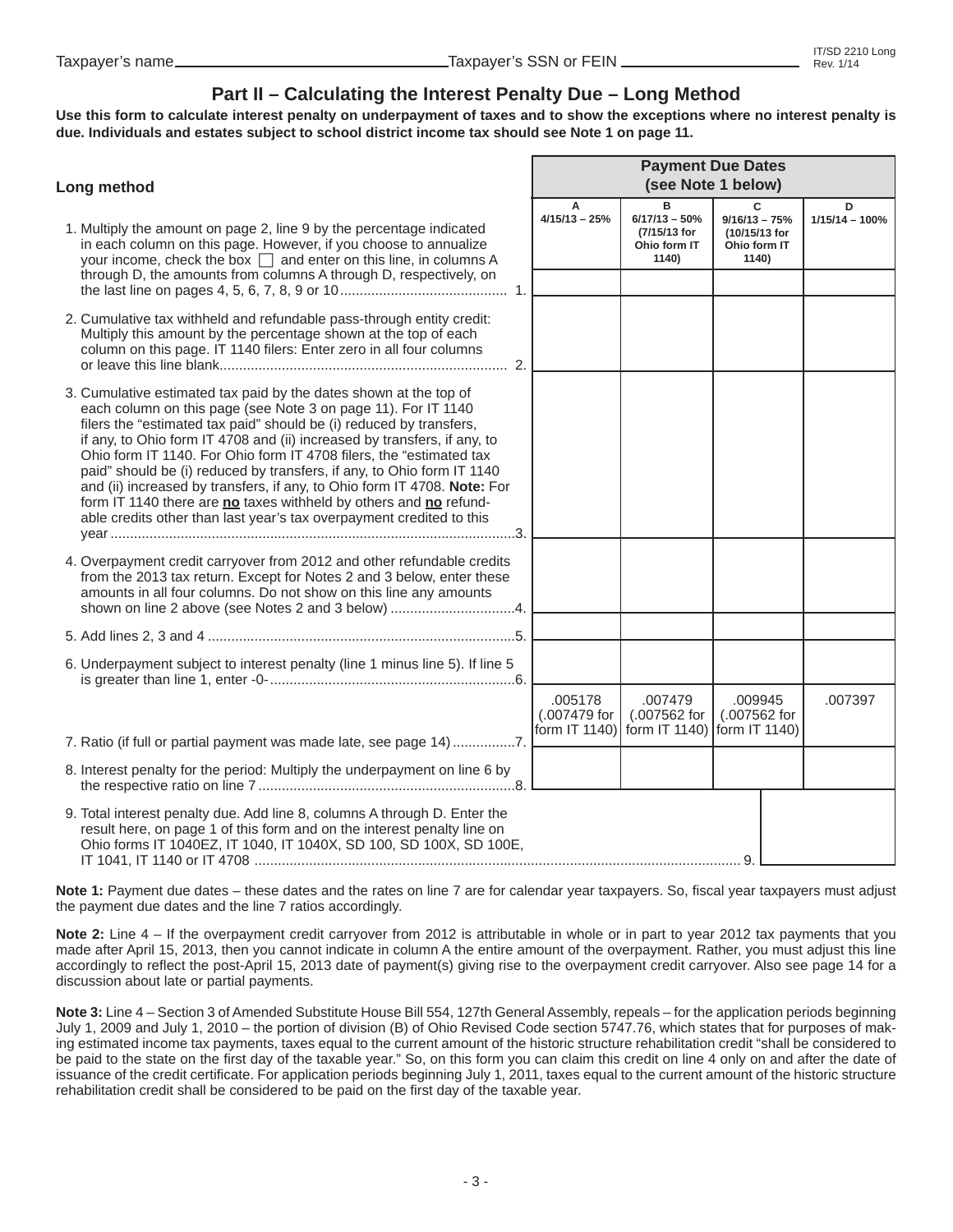## **Part II – Calculating the Interest Penalty Due – Long Method**

**Use this form to calculate interest penalty on underpayment of taxes and to show the exceptions where no interest penalty is due. Individuals and estates subject to school district income tax should see Note 1 on page 11.** 

| Long method                                                                                                                                                                                                                                                                                                                                                                                                                                                                                                                                                                                                                                                     | <b>Payment Due Dates</b><br>(see Note 1 below) |                         |                                                               |                                                                |                       |
|-----------------------------------------------------------------------------------------------------------------------------------------------------------------------------------------------------------------------------------------------------------------------------------------------------------------------------------------------------------------------------------------------------------------------------------------------------------------------------------------------------------------------------------------------------------------------------------------------------------------------------------------------------------------|------------------------------------------------|-------------------------|---------------------------------------------------------------|----------------------------------------------------------------|-----------------------|
| 1. Multiply the amount on page 2, line 9 by the percentage indicated<br>in each column on this page. However, if you choose to annualize<br>your income, check the box $\Box$ and enter on this line, in columns A                                                                                                                                                                                                                                                                                                                                                                                                                                              |                                                | А<br>$4/15/13 - 25%$    | в<br>$6/17/13 - 50%$<br>(7/15/13 for<br>Ohio form IT<br>1140) | C<br>$9/16/13 - 75%$<br>(10/15/13 for<br>Ohio form IT<br>1140) | D<br>$1/15/14 - 100%$ |
| through D, the amounts from columns A through D, respectively, on                                                                                                                                                                                                                                                                                                                                                                                                                                                                                                                                                                                               |                                                |                         |                                                               |                                                                |                       |
| 2. Cumulative tax withheld and refundable pass-through entity credit:<br>Multiply this amount by the percentage shown at the top of each<br>column on this page. IT 1140 filers: Enter zero in all four columns                                                                                                                                                                                                                                                                                                                                                                                                                                                 |                                                |                         |                                                               |                                                                |                       |
| 3. Cumulative estimated tax paid by the dates shown at the top of<br>each column on this page (see Note 3 on page 11). For IT 1140<br>filers the "estimated tax paid" should be (i) reduced by transfers,<br>if any, to Ohio form IT 4708 and (ii) increased by transfers, if any, to<br>Ohio form IT 1140. For Ohio form IT 4708 filers, the "estimated tax<br>paid" should be (i) reduced by transfers, if any, to Ohio form IT 1140<br>and (ii) increased by transfers, if any, to Ohio form IT 4708. Note: For<br>form IT 1140 there are no taxes withheld by others and no refund-<br>able credits other than last year's tax overpayment credited to this |                                                |                         |                                                               |                                                                |                       |
| 4. Overpayment credit carryover from 2012 and other refundable credits<br>from the 2013 tax return. Except for Notes 2 and 3 below, enter these<br>amounts in all four columns. Do not show on this line any amounts<br>shown on line 2 above (see Notes 2 and 3 below) 4.                                                                                                                                                                                                                                                                                                                                                                                      |                                                |                         |                                                               |                                                                |                       |
|                                                                                                                                                                                                                                                                                                                                                                                                                                                                                                                                                                                                                                                                 |                                                |                         |                                                               |                                                                |                       |
| 6. Underpayment subject to interest penalty (line 1 minus line 5). If line 5                                                                                                                                                                                                                                                                                                                                                                                                                                                                                                                                                                                    |                                                |                         |                                                               |                                                                |                       |
| 7. Ratio (if full or partial payment was made late, see page 14) 7.                                                                                                                                                                                                                                                                                                                                                                                                                                                                                                                                                                                             |                                                | .005178<br>(.007479 for | .007479<br>(.007562 for<br>form IT 1140) form IT 1140)        | .009945<br>(.007562 for<br>form IT 1140)                       | .007397               |
| 8. Interest penalty for the period: Multiply the underpayment on line 6 by                                                                                                                                                                                                                                                                                                                                                                                                                                                                                                                                                                                      |                                                |                         |                                                               |                                                                |                       |
| 9. Total interest penalty due. Add line 8, columns A through D. Enter the<br>result here, on page 1 of this form and on the interest penalty line on<br>Ohio forms IT 1040EZ, IT 1040, IT 1040X, SD 100, SD 100X, SD 100E,                                                                                                                                                                                                                                                                                                                                                                                                                                      |                                                |                         |                                                               | 9.                                                             |                       |

Note 1: Payment due dates – these dates and the rates on line 7 are for calendar year taxpayers. So, fiscal year taxpayers must adjust the payment due dates and the line 7 ratios accordingly.

**Note 2:** Line 4 – If the overpayment credit carryover from 2012 is attributable in whole or in part to year 2012 tax payments that you made after April 15, 2013, then you cannot indicate in column A the entire amount of the overpayment. Rather, you must adjust this line accordingly to reflect the post-April 15, 2013 date of payment(s) giving rise to the overpayment credit carryover. Also see page 14 for a discussion about late or partial payments.

**Note 3:** Line 4 – Section 3 of Amended Substitute House Bill 554, 127th General Assembly, repeals – for the application periods beginning July 1, 2009 and July 1, 2010 – the portion of division (B) of Ohio Revised Code section 5747.76, which states that for purposes of making estimated income tax payments, taxes equal to the current amount of the historic structure rehabilitation credit "shall be considered to be paid to the state on the first day of the taxable year." So, on this form you can claim this credit on line 4 only on and after the date of issuance of the credit certificate. For application periods beginning July 1, 2011, taxes equal to the current amount of the historic structure rehabilitation credit shall be considered to be paid on the first day of the taxable year.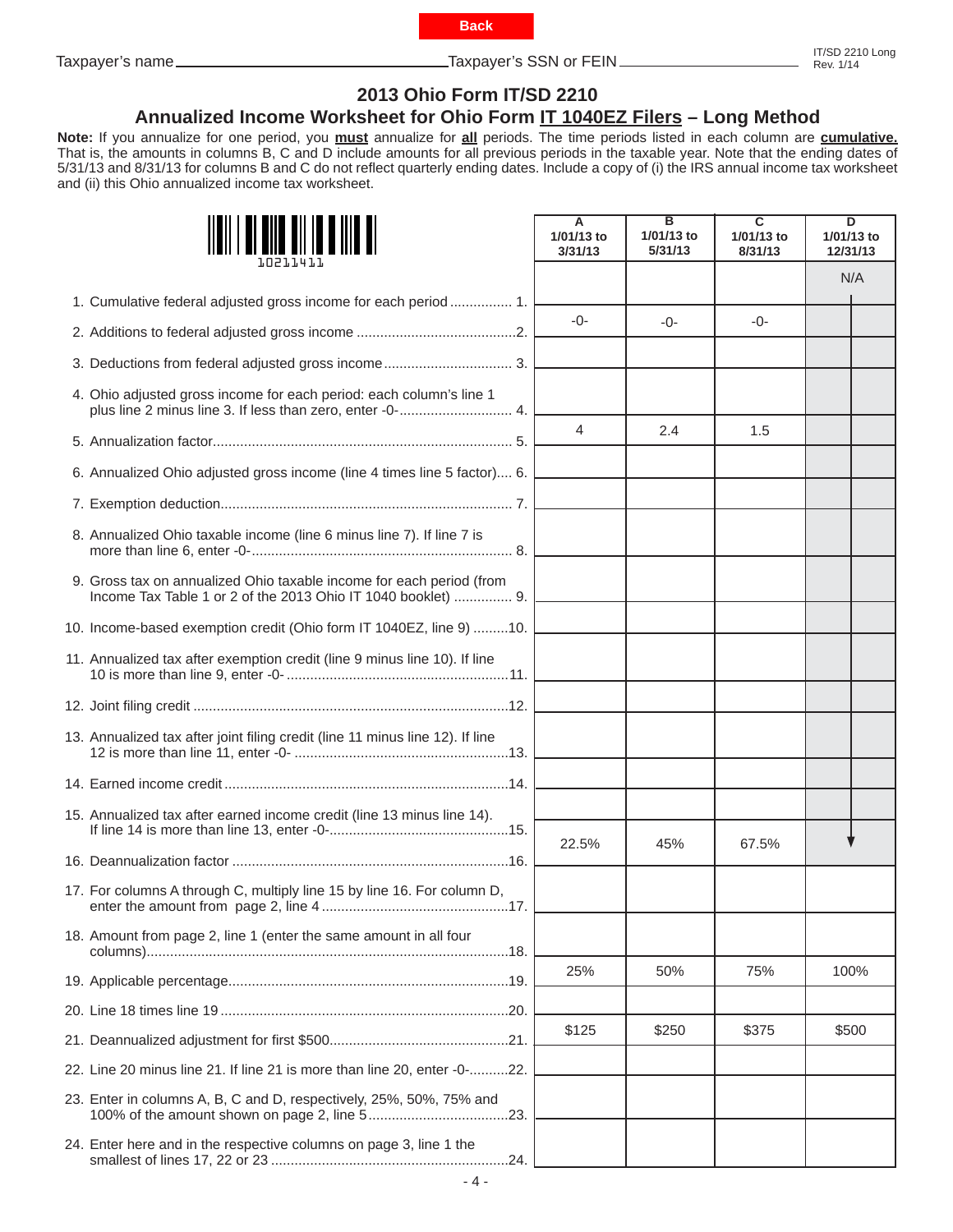**Back**

<span id="page-3-0"></span>Taxpayer's name Taxpayer's SSN or FEIN

# **2013 Ohio Form IT/SD 2210**

## **Annualized Income Worksheet for Ohio Form IT 1040EZ Filers – Long Method**

**Note:** If you annualize for one period, you **must** annualize for **all** periods. The time periods listed in each column are **cumulative.**  That is, the amounts in columns B, C and D include amounts for all previous periods in the taxable year. Note that the ending dates of 5/31/13 and 8/31/13 for columns B and C do not reflect quarterly ending dates. Include a copy of (i) the IRS annual income tax worksheet and (ii) this Ohio annualized income tax worksheet.

|                                                                                                                                       | A<br>1/01/13 to<br>3/31/13 | в<br>1/01/13 to<br>5/31/13 | $\overline{\mathbf{c}}$<br>1/01/13 to<br>8/31/13 | $\overline{\mathsf{D}}$<br>1/01/13 to<br>12/31/13 |  |
|---------------------------------------------------------------------------------------------------------------------------------------|----------------------------|----------------------------|--------------------------------------------------|---------------------------------------------------|--|
|                                                                                                                                       |                            |                            |                                                  | N/A                                               |  |
| 1. Cumulative federal adjusted gross income for each period  1.                                                                       |                            |                            |                                                  |                                                   |  |
|                                                                                                                                       | $-0-$                      | $-0-$                      | $-0-$                                            |                                                   |  |
|                                                                                                                                       |                            |                            |                                                  |                                                   |  |
| 4. Ohio adjusted gross income for each period: each column's line 1<br>plus line 2 minus line 3. If less than zero, enter -0- 4.      |                            |                            |                                                  |                                                   |  |
|                                                                                                                                       | 4                          | 2.4                        | 1.5                                              |                                                   |  |
| 6. Annualized Ohio adjusted gross income (line 4 times line 5 factor) 6.                                                              |                            |                            |                                                  |                                                   |  |
|                                                                                                                                       |                            |                            |                                                  |                                                   |  |
| 8. Annualized Ohio taxable income (line 6 minus line 7). If line 7 is                                                                 |                            |                            |                                                  |                                                   |  |
| 9. Gross tax on annualized Ohio taxable income for each period (from<br>Income Tax Table 1 or 2 of the 2013 Ohio IT 1040 booklet)  9. |                            |                            |                                                  |                                                   |  |
| 10. Income-based exemption credit (Ohio form IT 1040EZ, line 9) 10.                                                                   |                            |                            |                                                  |                                                   |  |
| 11. Annualized tax after exemption credit (line 9 minus line 10). If line                                                             |                            |                            |                                                  |                                                   |  |
|                                                                                                                                       |                            |                            |                                                  |                                                   |  |
| 13. Annualized tax after joint filing credit (line 11 minus line 12). If line                                                         |                            |                            |                                                  |                                                   |  |
|                                                                                                                                       |                            |                            |                                                  |                                                   |  |
| 15. Annualized tax after earned income credit (line 13 minus line 14).                                                                | 22.5%                      | 45%                        | 67.5%                                            |                                                   |  |
|                                                                                                                                       |                            |                            |                                                  |                                                   |  |
| 17. For columns A through C, multiply line 15 by line 16. For column D,<br>17                                                         |                            |                            |                                                  |                                                   |  |
| 18. Amount from page 2, line 1 (enter the same amount in all four                                                                     |                            |                            |                                                  |                                                   |  |
|                                                                                                                                       | 25%                        | 50%                        | 75%                                              | 100%                                              |  |
|                                                                                                                                       |                            |                            |                                                  |                                                   |  |
|                                                                                                                                       | \$125                      | \$250                      | \$375                                            | \$500                                             |  |
| 22. Line 20 minus line 21. If line 21 is more than line 20, enter -0-22.                                                              |                            |                            |                                                  |                                                   |  |
| 23. Enter in columns A, B, C and D, respectively, 25%, 50%, 75% and                                                                   |                            |                            |                                                  |                                                   |  |
| 24. Enter here and in the respective columns on page 3, line 1 the                                                                    |                            |                            |                                                  |                                                   |  |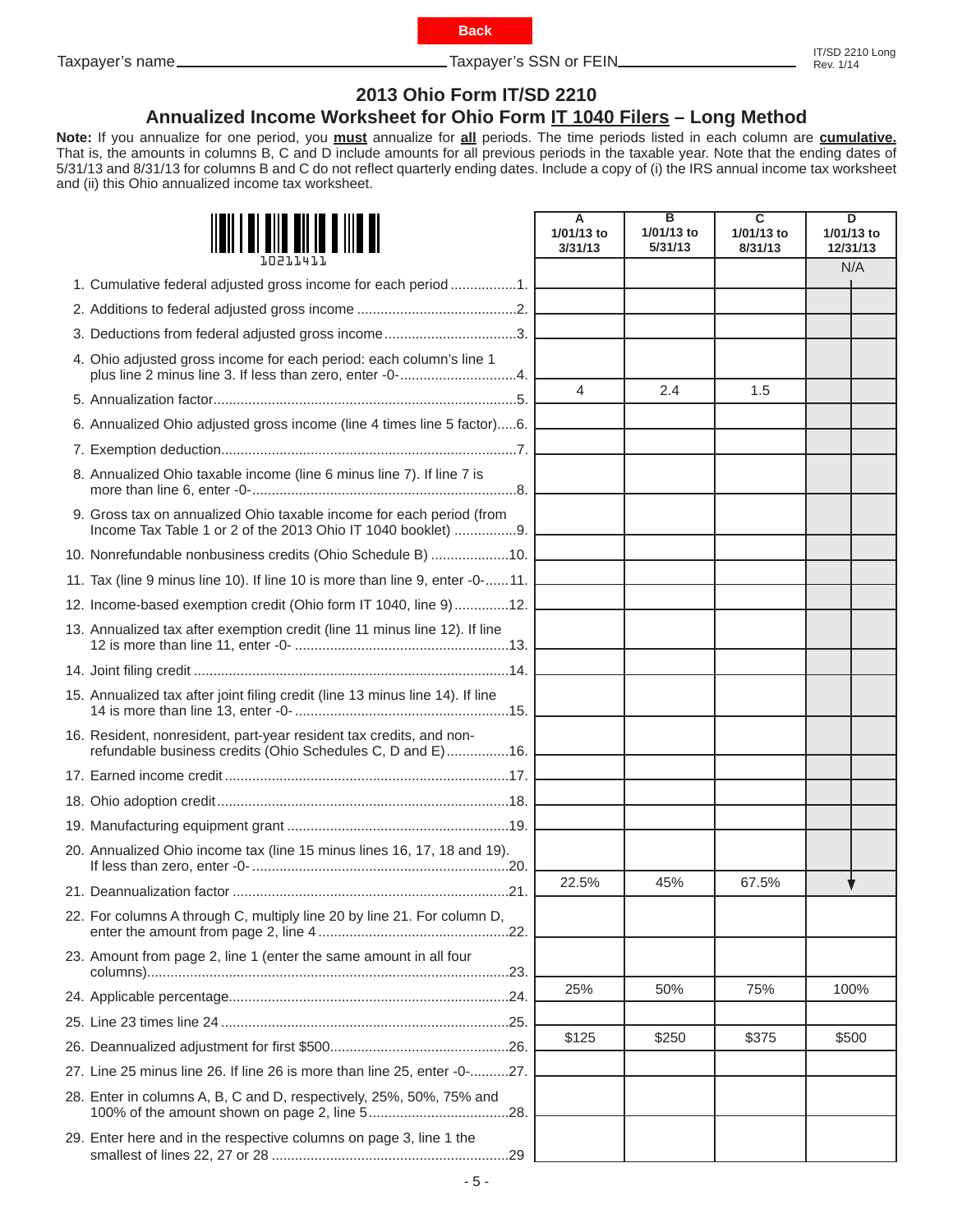

<span id="page-4-0"></span>Taxpayer's name Taxpayer's SSN or FEIN

# **2013 Ohio Form IT/SD 2210**

# **Annualized Income Worksheet for Ohio Form IT 1040 Filers – Long Method**

**Note:** If you annualize for one period, you **must** annualize for **all** periods. The time periods listed in each column are **cumulative.**  That is, the amounts in columns B, C and D include amounts for all previous periods in the taxable year. Note that the ending dates of 5/31/13 and 8/31/13 for columns B and C do not reflect quarterly ending dates. Include a copy of (i) the IRS annual income tax worksheet and (ii) this Ohio annualized income tax worksheet.

|                                                                                                                                      | А<br>1/01/13 to<br>3/31/13 | в<br>1/01/13 to<br>5/31/13 | C<br>1/01/13 to<br>8/31/13 | D<br>1/01/13 to<br>12/31/13 |
|--------------------------------------------------------------------------------------------------------------------------------------|----------------------------|----------------------------|----------------------------|-----------------------------|
| 1. Cumulative federal adjusted gross income for each period 1.                                                                       |                            |                            |                            | N/A                         |
|                                                                                                                                      |                            |                            |                            |                             |
| 3. Deductions from federal adjusted gross income3.                                                                                   |                            |                            |                            |                             |
| 4. Ohio adjusted gross income for each period: each column's line 1<br>plus line 2 minus line 3. If less than zero, enter -0-4.      |                            |                            |                            |                             |
|                                                                                                                                      | $\overline{\mathcal{A}}$   | 2.4                        | 1.5                        |                             |
| 6. Annualized Ohio adjusted gross income (line 4 times line 5 factor)6.                                                              |                            |                            |                            |                             |
|                                                                                                                                      |                            |                            |                            |                             |
| 8. Annualized Ohio taxable income (line 6 minus line 7). If line 7 is                                                                |                            |                            |                            |                             |
| 9. Gross tax on annualized Ohio taxable income for each period (from<br>Income Tax Table 1 or 2 of the 2013 Ohio IT 1040 booklet) 9. |                            |                            |                            |                             |
| 10. Nonrefundable nonbusiness credits (Ohio Schedule B) 10.                                                                          |                            |                            |                            |                             |
| 11. Tax (line 9 minus line 10). If line 10 is more than line 9, enter -0-11.                                                         |                            |                            |                            |                             |
| 12. Income-based exemption credit (Ohio form IT 1040, line 9) 12.                                                                    |                            |                            |                            |                             |
| 13. Annualized tax after exemption credit (line 11 minus line 12). If line                                                           |                            |                            |                            |                             |
|                                                                                                                                      |                            |                            |                            |                             |
| 15. Annualized tax after joint filing credit (line 13 minus line 14). If line                                                        |                            |                            |                            |                             |
| 16. Resident, nonresident, part-year resident tax credits, and non-<br>refundable business credits (Ohio Schedules C, D and E)16.    |                            |                            |                            |                             |
|                                                                                                                                      |                            |                            |                            |                             |
|                                                                                                                                      |                            |                            |                            |                             |
|                                                                                                                                      |                            |                            |                            |                             |
| 20. Annualized Ohio income tax (line 15 minus lines 16, 17, 18 and 19).                                                              |                            |                            |                            |                             |
|                                                                                                                                      | 22.5%                      | 45%                        | 67.5%                      |                             |
| 22. For columns A through C, multiply line 20 by line 21. For column D,                                                              |                            |                            |                            |                             |
| 23. Amount from page 2, line 1 (enter the same amount in all four                                                                    |                            |                            |                            |                             |
|                                                                                                                                      | 25%                        | 50%                        | 75%                        | 100%                        |
|                                                                                                                                      |                            |                            |                            |                             |
|                                                                                                                                      | \$125                      | \$250                      | \$375                      | \$500                       |
| 27. Line 25 minus line 26. If line 26 is more than line 25, enter -0-27.                                                             |                            |                            |                            |                             |
| 28. Enter in columns A, B, C and D, respectively, 25%, 50%, 75% and                                                                  |                            |                            |                            |                             |
| 29. Enter here and in the respective columns on page 3, line 1 the                                                                   |                            |                            |                            |                             |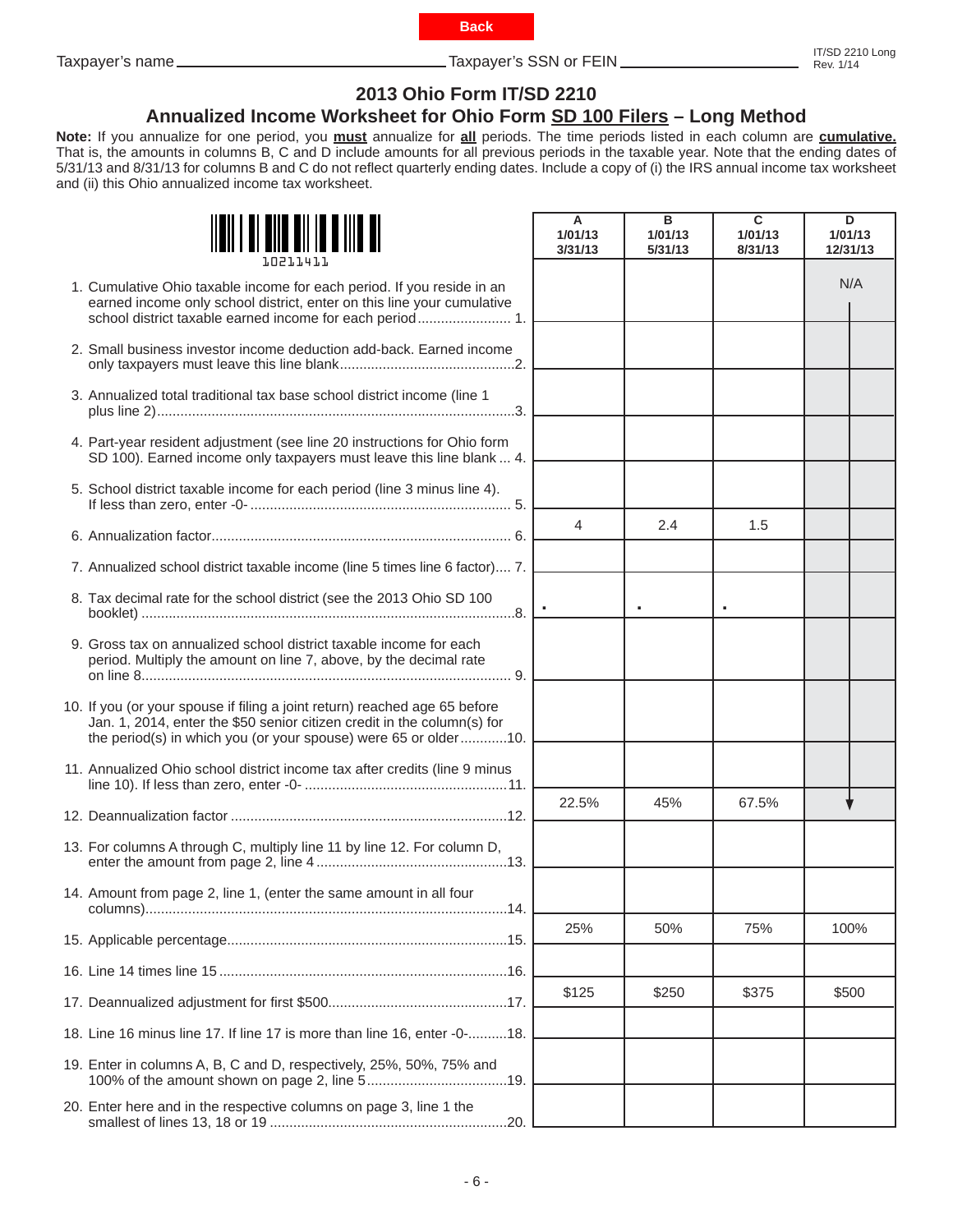

<span id="page-5-0"></span>Taxpayer's name Taxpayer's SSN or FEIN IT/SD 2210 Long

# **2013 Ohio Form IT/SD 2210**

## **Annualized Income Worksheet for Ohio Form SD 100 Filers – Long Method**

**Note:** If you annualize for one period, you **must** annualize for **all** periods. The time periods listed in each column are **cumulative.**  That is, the amounts in columns B, C and D include amounts for all previous periods in the taxable year. Note that the ending dates of 5/31/13 and 8/31/13 for columns B and C do not reflect quarterly ending dates. Include a copy of (i) the IRS annual income tax worksheet and (ii) this Ohio annualized income tax worksheet.

| 10211411                                                                                                                                                                                                                 | A<br>1/01/13<br>3/31/13 | в<br>1/01/13<br>5/31/13 | C<br>1/01/13<br>8/31/13 | D<br>1/01/13<br>12/31/13 |
|--------------------------------------------------------------------------------------------------------------------------------------------------------------------------------------------------------------------------|-------------------------|-------------------------|-------------------------|--------------------------|
| 1. Cumulative Ohio taxable income for each period. If you reside in an<br>earned income only school district, enter on this line your cumulative                                                                         |                         |                         |                         | N/A                      |
| 2. Small business investor income deduction add-back. Earned income                                                                                                                                                      |                         |                         |                         |                          |
| 3. Annualized total traditional tax base school district income (line 1                                                                                                                                                  |                         |                         |                         |                          |
| 4. Part-year resident adjustment (see line 20 instructions for Ohio form<br>SD 100). Earned income only taxpayers must leave this line blank  4.                                                                         |                         |                         |                         |                          |
| 5. School district taxable income for each period (line 3 minus line 4).                                                                                                                                                 |                         |                         |                         |                          |
|                                                                                                                                                                                                                          | $\overline{4}$          | 2.4                     | 1.5                     |                          |
| 7. Annualized school district taxable income (line 5 times line 6 factor) 7.                                                                                                                                             |                         |                         |                         |                          |
| 8. Tax decimal rate for the school district (see the 2013 Ohio SD 100                                                                                                                                                    |                         |                         |                         |                          |
| 9. Gross tax on annualized school district taxable income for each<br>period. Multiply the amount on line 7, above, by the decimal rate                                                                                  |                         |                         |                         |                          |
| 10. If you (or your spouse if filing a joint return) reached age 65 before<br>Jan. 1, 2014, enter the \$50 senior citizen credit in the column(s) for<br>the period(s) in which you (or your spouse) were 65 or older10. |                         |                         |                         |                          |
| 11. Annualized Ohio school district income tax after credits (line 9 minus                                                                                                                                               |                         |                         |                         |                          |
|                                                                                                                                                                                                                          | 22.5%                   | 45%                     | 67.5%                   |                          |
| 13. For columns A through C, multiply line 11 by line 12. For column D,                                                                                                                                                  |                         |                         |                         |                          |
| 14. Amount from page 2, line 1, (enter the same amount in all four                                                                                                                                                       |                         |                         |                         |                          |
|                                                                                                                                                                                                                          | 25%                     | 50%                     | 75%                     | 100%                     |
|                                                                                                                                                                                                                          |                         |                         |                         |                          |
|                                                                                                                                                                                                                          | \$125                   | \$250                   | \$375                   | \$500                    |
| 18. Line 16 minus line 17. If line 17 is more than line 16, enter -0-18.                                                                                                                                                 |                         |                         |                         |                          |
| 19. Enter in columns A, B, C and D, respectively, 25%, 50%, 75% and                                                                                                                                                      |                         |                         |                         |                          |
| 20. Enter here and in the respective columns on page 3, line 1 the                                                                                                                                                       |                         |                         |                         |                          |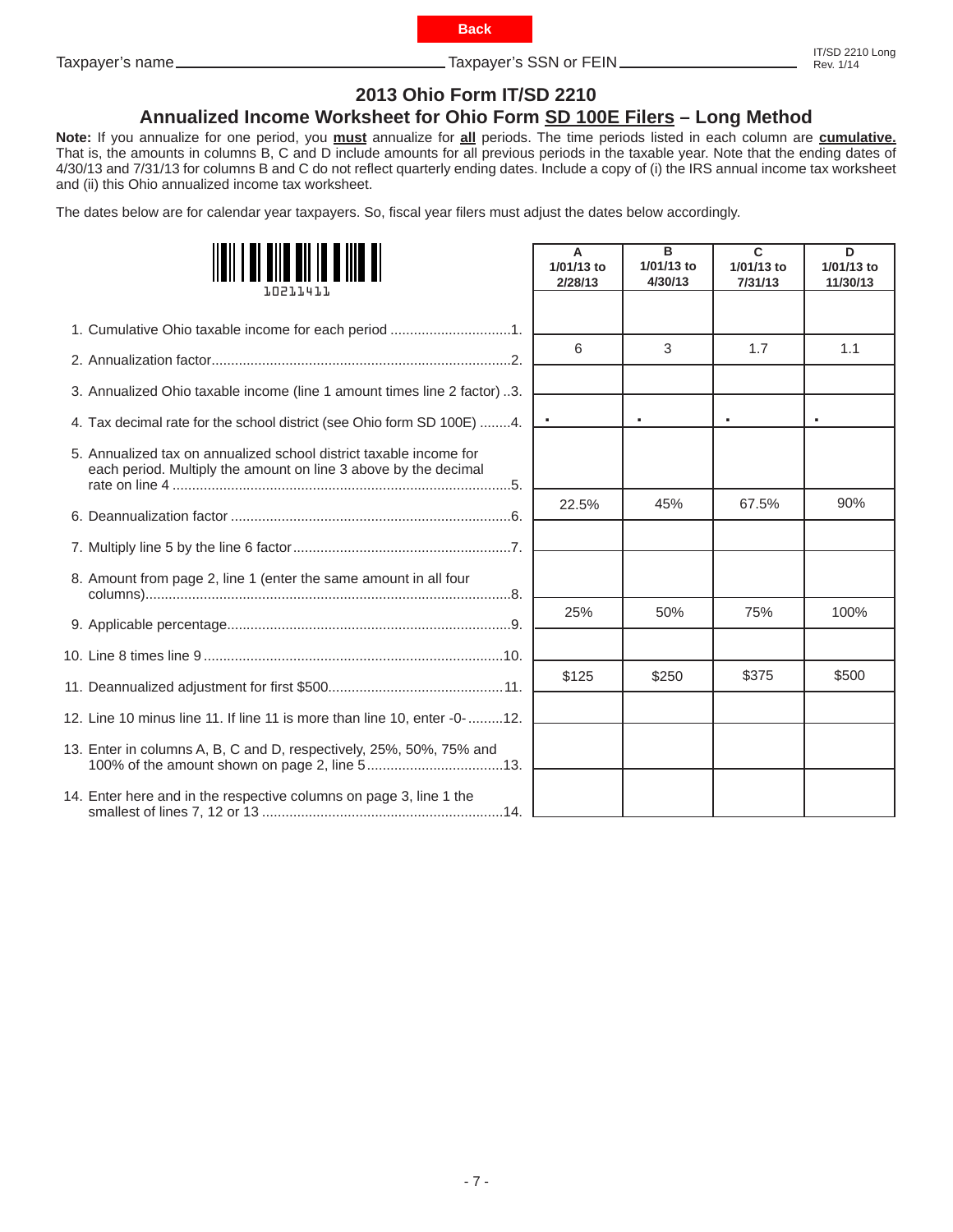

<span id="page-6-0"></span>Taxpayer's name Taxpayer's SSN or FEIN

# **2013 Ohio Form IT/SD 2210**

## **Annualized Income Worksheet for Ohio Form SD 100E Filers – Long Method**

**Note:** If you annualize for one period, you **must** annualize for **all** periods. The time periods listed in each column are **cumulative.**  That is, the amounts in columns B, C and D include amounts for all previous periods in the taxable year. Note that the ending dates of 4/30/13 and 7/31/13 for columns B and C do not reflect quarterly ending dates. Include a copy of (i) the IRS annual income tax worksheet and (ii) this Ohio annualized income tax worksheet.

The dates below are for calendar year taxpayers. So, fiscal year filers must adjust the dates below accordingly.

| 1. N 2 1. 1. 4 1. 1.                                                                                                                  | A<br>1/01/13 to<br>2/28/13 | B<br>1/01/13 to<br>4/30/13 | $\mathbf{C}$<br>1/01/13 to<br>7/31/13 | D<br>1/01/13 to<br>11/30/13 |
|---------------------------------------------------------------------------------------------------------------------------------------|----------------------------|----------------------------|---------------------------------------|-----------------------------|
| 1. Cumulative Ohio taxable income for each period 1.                                                                                  |                            |                            |                                       |                             |
|                                                                                                                                       | 6                          | 3                          | 1.7                                   | 1.1                         |
| 3. Annualized Ohio taxable income (line 1 amount times line 2 factor) 3.                                                              |                            |                            |                                       |                             |
| 4. Tax decimal rate for the school district (see Ohio form SD 100E) 4.                                                                |                            |                            |                                       | ٠                           |
| 5. Annualized tax on annualized school district taxable income for<br>each period. Multiply the amount on line 3 above by the decimal |                            |                            |                                       |                             |
|                                                                                                                                       | 22.5%                      | 45%                        | 67.5%                                 | 90%                         |
|                                                                                                                                       |                            |                            |                                       |                             |
| 8. Amount from page 2, line 1 (enter the same amount in all four                                                                      |                            |                            |                                       |                             |
|                                                                                                                                       | 25%                        | 50%                        | 75%                                   | 100%                        |
|                                                                                                                                       |                            |                            |                                       |                             |
|                                                                                                                                       | \$125                      | \$250                      | \$375                                 | \$500                       |
| 12. Line 10 minus line 11. If line 11 is more than line 10, enter -0-12.                                                              |                            |                            |                                       |                             |
| 13. Enter in columns A, B, C and D, respectively, 25%, 50%, 75% and                                                                   |                            |                            |                                       |                             |
| 14. Enter here and in the respective columns on page 3, line 1 the                                                                    |                            |                            |                                       |                             |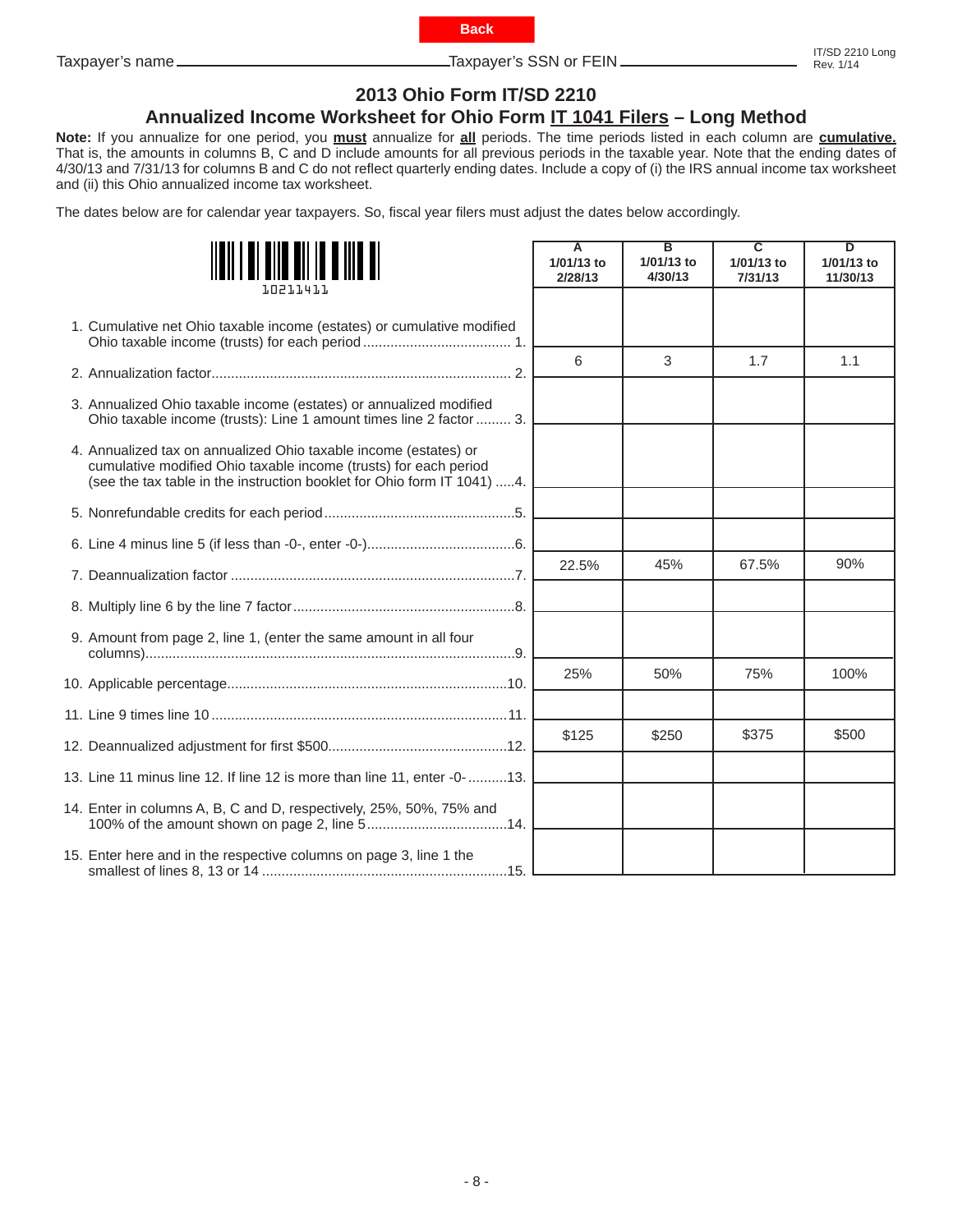- 8 -

<span id="page-7-0"></span>Taxpayer's name Taxpayer's SSN or FEIN

# **2013 Ohio Form IT/SD 2210**

## **Annualized Income Worksheet for Ohio Form IT 1041 Filers – Long Method**

**Back**

**Note:** If you annualize for one period, you **must** annualize for **all** periods. The time periods listed in each column are **cumulative.**  That is, the amounts in columns B, C and D include amounts for all previous periods in the taxable year. Note that the ending dates of 4/30/13 and 7/31/13 for columns B and C do not reflect quarterly ending dates. Include a copy of (i) the IRS annual income tax worksheet and (ii) this Ohio annualized income tax worksheet.

The dates below are for calendar year taxpayers. So, fiscal year filers must adjust the dates below accordingly.

| 1.021.1.41.1.                                                                                                                                                                                                   | A<br>1/01/13 to<br>2/28/13 | $\overline{\mathbf{B}}$<br>1/01/13 to<br>4/30/13 | ᡓ<br>1/01/13 to<br>7/31/13 | ᡖ<br>1/01/13 to<br>11/30/13 |
|-----------------------------------------------------------------------------------------------------------------------------------------------------------------------------------------------------------------|----------------------------|--------------------------------------------------|----------------------------|-----------------------------|
| 1. Cumulative net Ohio taxable income (estates) or cumulative modified                                                                                                                                          |                            |                                                  |                            |                             |
|                                                                                                                                                                                                                 | 6                          | 3                                                | 1.7                        | 1.1                         |
| 3. Annualized Ohio taxable income (estates) or annualized modified<br>Ohio taxable income (trusts): Line 1 amount times line 2 factor  3.                                                                       |                            |                                                  |                            |                             |
| 4. Annualized tax on annualized Ohio taxable income (estates) or<br>cumulative modified Ohio taxable income (trusts) for each period<br>(see the tax table in the instruction booklet for Ohio form IT 1041) 4. |                            |                                                  |                            |                             |
|                                                                                                                                                                                                                 |                            |                                                  |                            |                             |
|                                                                                                                                                                                                                 |                            |                                                  |                            |                             |
|                                                                                                                                                                                                                 | 22.5%                      | 45%                                              | 67.5%                      | 90%                         |
|                                                                                                                                                                                                                 |                            |                                                  |                            |                             |
| 9. Amount from page 2, line 1, (enter the same amount in all four                                                                                                                                               |                            |                                                  |                            |                             |
|                                                                                                                                                                                                                 | 25%                        | 50%                                              | 75%                        | 100%                        |
|                                                                                                                                                                                                                 |                            |                                                  |                            |                             |
|                                                                                                                                                                                                                 | \$125                      | \$250                                            | \$375                      | \$500                       |
| 13. Line 11 minus line 12. If line 12 is more than line 11, enter -0-13.                                                                                                                                        |                            |                                                  |                            |                             |
| 14. Enter in columns A, B, C and D, respectively, 25%, 50%, 75% and                                                                                                                                             |                            |                                                  |                            |                             |
| 15. Enter here and in the respective columns on page 3, line 1 the                                                                                                                                              |                            |                                                  |                            |                             |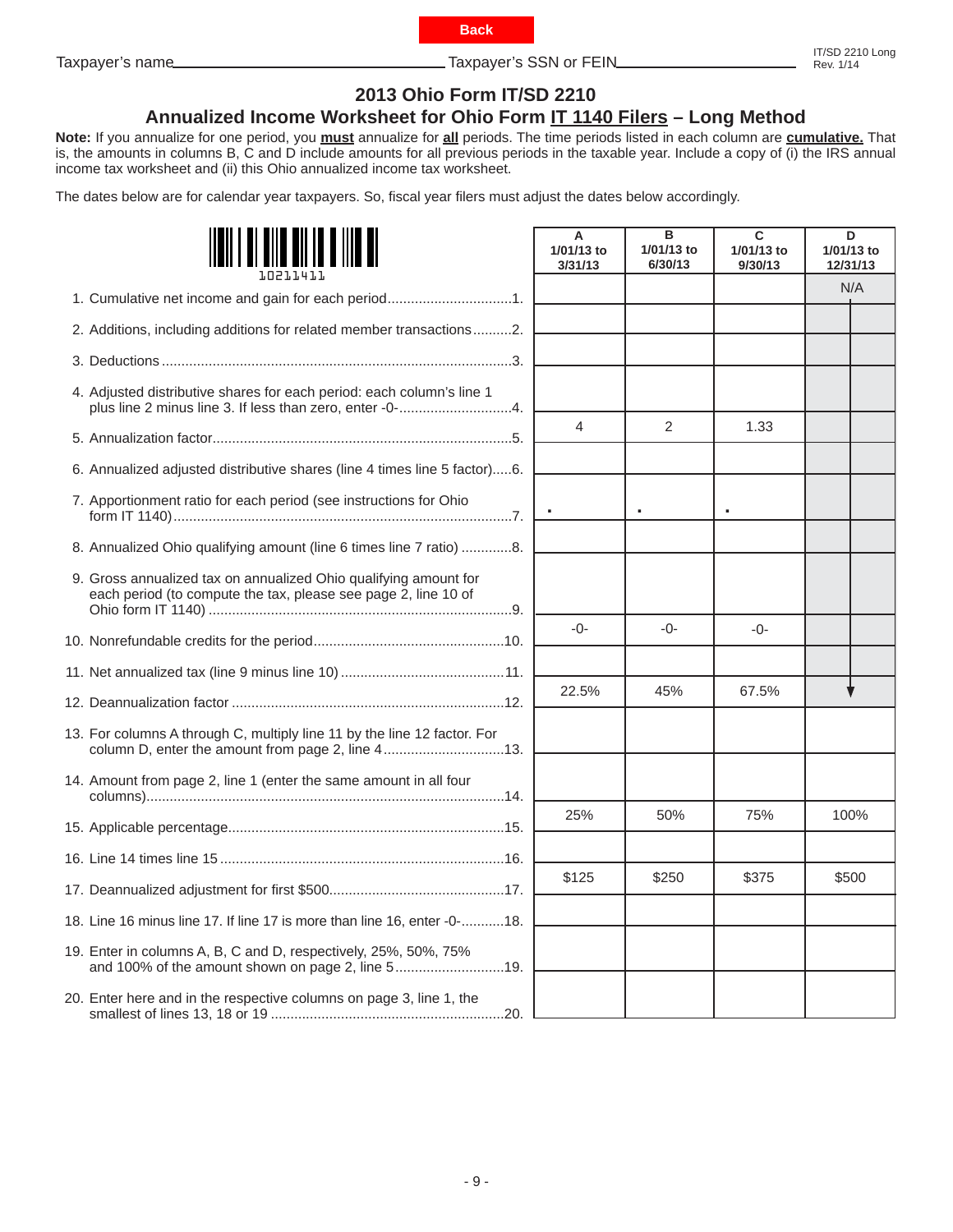- 9 -

<span id="page-8-0"></span>Taxpayer's name Taxpayer's SSN or FEIN

# **2013 Ohio Form IT/SD 2210**

# **Annualized Income Worksheet for Ohio Form IT 1140 Filers – Long Method**

**Note:** If you annualize for one period, you **must** annualize for **all** periods. The time periods listed in each column are **cumulative.** That is, the amounts in columns B, C and D include amounts for all previous periods in the taxable year. Include a copy of (i) the IRS annual income tax worksheet and (ii) this Ohio annualized income tax worksheet.

The dates below are for calendar year taxpayers. So, fiscal year filers must adjust the dates below accordingly.

| <u> III III III IIII</u>                                                                                                           | A<br>1/01/13 to<br>3/31/13 | в<br>1/01/13 to<br>6/30/13 | C<br>1/01/13 to<br>9/30/13 | D<br>1/01/13 to<br>12/31/13 |  |
|------------------------------------------------------------------------------------------------------------------------------------|----------------------------|----------------------------|----------------------------|-----------------------------|--|
| 1. Cumulative net income and gain for each period1.                                                                                |                            |                            |                            | N/A                         |  |
| 2. Additions, including additions for related member transactions2.                                                                |                            |                            |                            |                             |  |
|                                                                                                                                    |                            |                            |                            |                             |  |
| 4. Adjusted distributive shares for each period: each column's line 1<br>plus line 2 minus line 3. If less than zero, enter -0-4.  |                            |                            |                            |                             |  |
|                                                                                                                                    | 4                          | $\overline{2}$             | 1.33                       |                             |  |
| 6. Annualized adjusted distributive shares (line 4 times line 5 factor)6.                                                          |                            |                            |                            |                             |  |
| 7. Apportionment ratio for each period (see instructions for Ohio                                                                  |                            | $\bullet$                  |                            |                             |  |
| 8. Annualized Ohio qualifying amount (line 6 times line 7 ratio) 8.                                                                |                            |                            |                            |                             |  |
| 9. Gross annualized tax on annualized Ohio qualifying amount for<br>each period (to compute the tax, please see page 2, line 10 of |                            |                            |                            |                             |  |
|                                                                                                                                    | $-()$ -                    | $-0-$                      | $-0-$                      |                             |  |
|                                                                                                                                    |                            |                            |                            |                             |  |
|                                                                                                                                    | 22.5%                      | 45%                        | 67.5%                      |                             |  |
| 13. For columns A through C, multiply line 11 by the line 12 factor. For<br>column D, enter the amount from page 2, line 413.      |                            |                            |                            |                             |  |
| 14. Amount from page 2, line 1 (enter the same amount in all four                                                                  |                            |                            |                            |                             |  |
|                                                                                                                                    | 25%                        | 50%                        | 75%                        | 100%                        |  |
|                                                                                                                                    |                            |                            |                            |                             |  |
|                                                                                                                                    | \$125                      | \$250                      | \$375                      | \$500                       |  |
| 18. Line 16 minus line 17. If line 17 is more than line 16, enter -0-18.                                                           |                            |                            |                            |                             |  |
| 19. Enter in columns A, B, C and D, respectively, 25%, 50%, 75%<br>and 100% of the amount shown on page 2, line 519.               |                            |                            |                            |                             |  |
| 20. Enter here and in the respective columns on page 3, line 1, the                                                                |                            |                            |                            |                             |  |

**Back**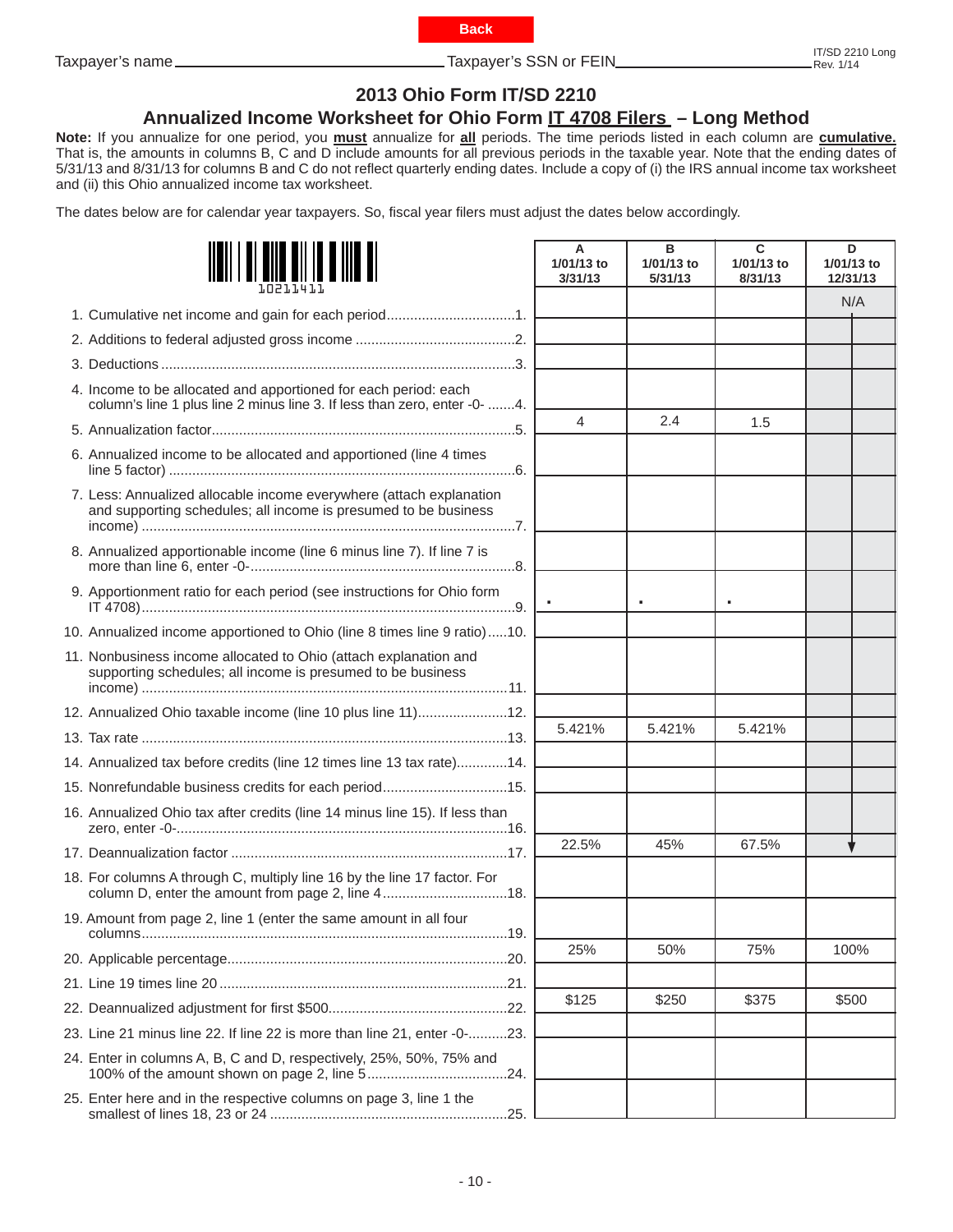<span id="page-9-0"></span>Taxpayer's name

# **2013 Ohio Form IT/SD 2210**

## **Annualized Income Worksheet for Ohio Form IT 4708 Filers – Long Method**

**Note:** If you annualize for one period, you **must** annualize for **all** periods. The time periods listed in each column are **cumulative.**  That is, the amounts in columns B, C and D include amounts for all previous periods in the taxable year. Note that the ending dates of 5/31/13 and 8/31/13 for columns B and C do not reflect quarterly ending dates. Include a copy of (i) the IRS annual income tax worksheet and (ii) this Ohio annualized income tax worksheet.

The dates below are for calendar year taxpayers. So, fiscal year filers must adjust the dates below accordingly.

|                                                                                                                                              | A<br>1/01/13 to<br>3/31/13 | в<br>1/01/13 to<br>5/31/13 | C<br>1/01/13 to<br>8/31/13 | D<br>1/01/13 to<br>12/31/13 |  |
|----------------------------------------------------------------------------------------------------------------------------------------------|----------------------------|----------------------------|----------------------------|-----------------------------|--|
| 1. Cumulative net income and gain for each period1.                                                                                          |                            |                            |                            | N/A                         |  |
|                                                                                                                                              |                            |                            |                            |                             |  |
|                                                                                                                                              |                            |                            |                            |                             |  |
| 4. Income to be allocated and apportioned for each period: each<br>column's line 1 plus line 2 minus line 3. If less than zero, enter -0- 4. |                            |                            |                            |                             |  |
|                                                                                                                                              | 4                          | 2.4                        | 1.5                        |                             |  |
| 6. Annualized income to be allocated and apportioned (line 4 times                                                                           |                            |                            |                            |                             |  |
| 7. Less: Annualized allocable income everywhere (attach explanation<br>and supporting schedules; all income is presumed to be business       |                            |                            |                            |                             |  |
| 8. Annualized apportionable income (line 6 minus line 7). If line 7 is                                                                       |                            |                            |                            |                             |  |
| 9. Apportionment ratio for each period (see instructions for Ohio form                                                                       |                            |                            |                            |                             |  |
| 10. Annualized income apportioned to Ohio (line 8 times line 9 ratio)10.                                                                     |                            |                            |                            |                             |  |
| 11. Nonbusiness income allocated to Ohio (attach explanation and<br>supporting schedules; all income is presumed to be business              |                            |                            |                            |                             |  |
| 12. Annualized Ohio taxable income (line 10 plus line 11)12.                                                                                 |                            |                            |                            |                             |  |
|                                                                                                                                              | 5.421%                     | 5.421%                     | 5.421%                     |                             |  |
| 14. Annualized tax before credits (line 12 times line 13 tax rate)14.                                                                        |                            |                            |                            |                             |  |
| 15. Nonrefundable business credits for each period15.                                                                                        |                            |                            |                            |                             |  |
| 16. Annualized Ohio tax after credits (line 14 minus line 15). If less than                                                                  |                            |                            |                            |                             |  |
|                                                                                                                                              | 22.5%                      | 45%                        | 67.5%                      |                             |  |
| 18. For columns A through C, multiply line 16 by the line 17 factor. For<br>column D, enter the amount from page 2, line 418.                |                            |                            |                            |                             |  |
| 19. Amount from page 2, line 1 (enter the same amount in all four<br>.19.                                                                    |                            |                            |                            |                             |  |
|                                                                                                                                              | 25%                        | 50%                        | 75%                        | 100%                        |  |
|                                                                                                                                              |                            |                            |                            |                             |  |
|                                                                                                                                              | \$125                      | \$250                      | \$375                      | \$500                       |  |
| 23. Line 21 minus line 22. If line 22 is more than line 21, enter -0-23.                                                                     |                            |                            |                            |                             |  |
| 24. Enter in columns A, B, C and D, respectively, 25%, 50%, 75% and                                                                          |                            |                            |                            |                             |  |
| 25. Enter here and in the respective columns on page 3, line 1 the                                                                           |                            |                            |                            |                             |  |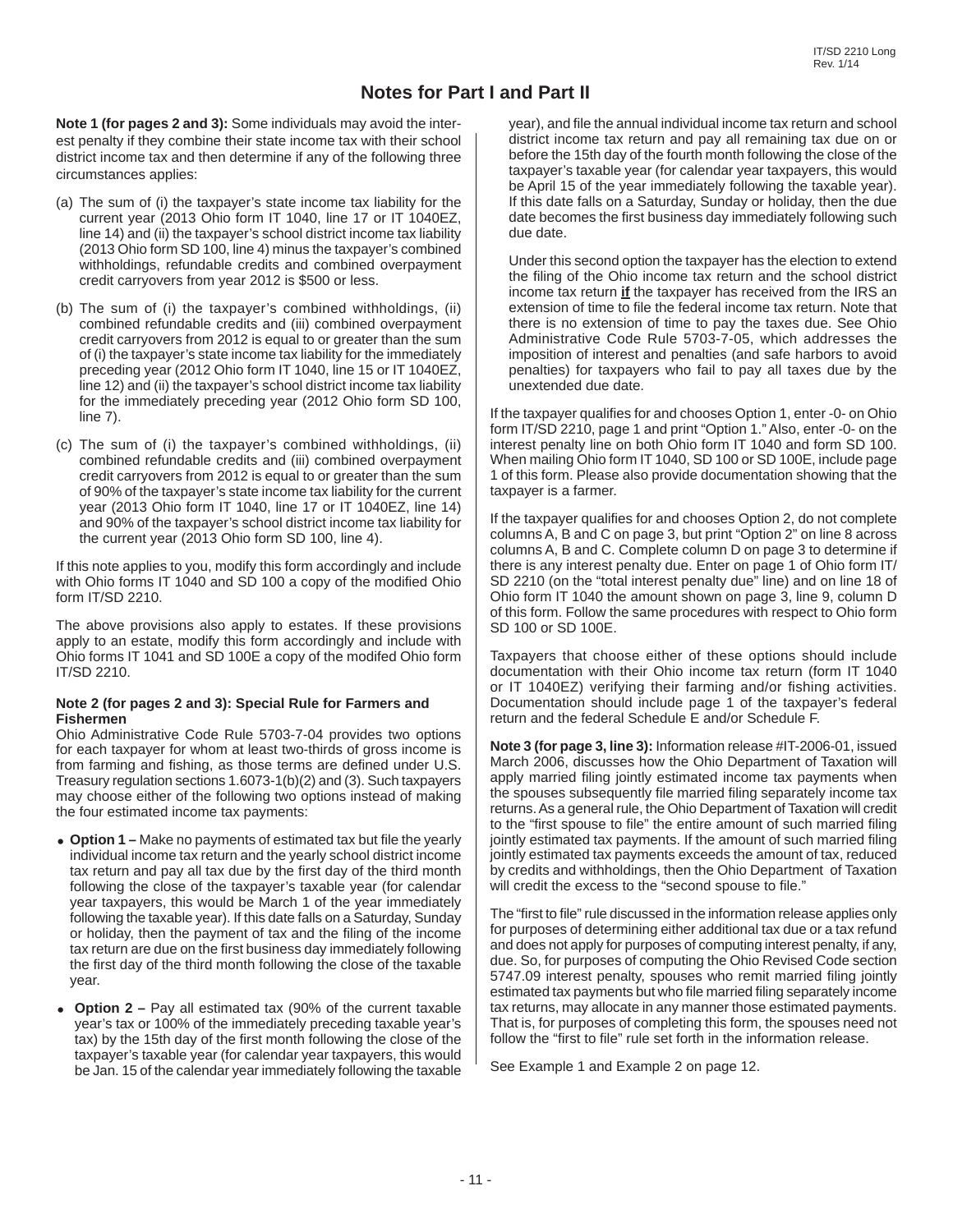## **Notes for Part I and Part II**

**Note 1 (for pages 2 and 3):** Some individuals may avoid the interest penalty if they combine their state income tax with their school district income tax and then determine if any of the following three circumstances applies:

- (a) The sum of (i) the taxpayer's state income tax liability for the current year (2013 Ohio form IT 1040, line 17 or IT 1040EZ, line 14) and (ii) the taxpayer's school district income tax liability (2013 Ohio form SD 100, line 4) minus the taxpayer's combined withholdings, refundable credits and combined overpayment credit carryovers from year 2012 is \$500 or less.
- (b) The sum of (i) the taxpayer's combined withholdings, (ii) combined refundable credits and (iii) combined overpayment credit carryovers from 2012 is equal to or greater than the sum of (i) the taxpayer's state income tax liability for the immediately preceding year (2012 Ohio form IT 1040, line 15 or IT 1040EZ, line 12) and (ii) the taxpayer's school district income tax liability for the immediately preceding year (2012 Ohio form SD 100, line 7).
- (c) The sum of (i) the taxpayer's combined withholdings, (ii) combined refundable credits and (iii) combined overpayment credit carryovers from 2012 is equal to or greater than the sum of 90% of the taxpayer's state income tax liability for the current year (2013 Ohio form IT 1040, line 17 or IT 1040EZ, line 14) and 90% of the taxpayer's school district income tax liability for the current year (2013 Ohio form SD 100, line 4).

If this note applies to you, modify this form accordingly and include with Ohio forms IT 1040 and SD 100 a copy of the modified Ohio form IT/SD 2210.

The above provisions also apply to estates. If these provisions apply to an estate, modify this form accordingly and include with Ohio forms IT 1041 and SD 100E a copy of the modifed Ohio form IT/SD 2210.

#### **Note 2 (for pages 2 and 3): Special Rule for Farmers and Fishermen**

Ohio Administrative Code Rule 5703-7-04 provides two options for each taxpayer for whom at least two-thirds of gross income is from farming and fishing, as those terms are defined under U.S. Treasury regulation sections 1.6073-1(b)(2) and (3). Such taxpayers may choose either of the following two options instead of making the four estimated income tax payments:

- Option 1 Make no payments of estimated tax but file the yearly individual income tax return and the yearly school district income tax return and pay all tax due by the first day of the third month following the close of the taxpayer's taxable year (for calendar year taxpayers, this would be March 1 of the year immediately following the taxable year). If this date falls on a Saturday, Sunday or holiday, then the payment of tax and the filing of the income tax return are due on the first business day immediately following the first day of the third month following the close of the taxable year.
- **Option 2 –** Pay all estimated tax (90% of the current taxable year's tax or 100% of the immediately preceding taxable year's tax) by the 15th day of the first month following the close of the taxpayer's taxable year (for calendar year taxpayers, this would be Jan. 15 of the calendar year immediately following the taxable

year), and file the annual individual income tax return and school district income tax return and pay all remaining tax due on or before the 15th day of the fourth month following the close of the taxpayer's taxable year (for calendar year taxpayers, this would be April 15 of the year immediately following the taxable year). If this date falls on a Saturday, Sunday or holiday, then the due date becomes the first business day immediately following such due date.

 Under this second option the taxpayer has the election to extend the filing of the Ohio income tax return and the school district income tax return **if** the taxpayer has received from the IRS an extension of time to file the federal income tax return. Note that there is no extension of time to pay the taxes due. See Ohio Administrative Code Rule 5703-7-05, which addresses the imposition of interest and penalties (and safe harbors to avoid penalties) for taxpayers who fail to pay all taxes due by the unextended due date.

If the taxpayer qualifies for and chooses Option 1, enter -0- on Ohio form IT/SD 2210, page 1 and print "Option 1." Also, enter -0- on the interest penalty line on both Ohio form IT 1040 and form SD 100. When mailing Ohio form IT 1040, SD 100 or SD 100E, include page 1 of this form. Please also provide documentation showing that the taxpayer is a farmer.

If the taxpayer qualifies for and chooses Option 2, do not complete columns A, B and C on page 3, but print "Option 2" on line 8 across columns A, B and C. Complete column D on page 3 to determine if there is any interest penalty due. Enter on page 1 of Ohio form IT/ SD 2210 (on the "total interest penalty due" line) and on line 18 of Ohio form IT 1040 the amount shown on page 3, line 9, column D of this form. Follow the same procedures with respect to Ohio form SD 100 or SD 100E.

Taxpayers that choose either of these options should include documentation with their Ohio income tax return (form IT 1040 or IT 1040EZ) verifying their farming and/or fishing activities. Documentation should include page 1 of the taxpayer's federal return and the federal Schedule E and/or Schedule F.

**Note 3 (for page 3, line 3):** Information release #IT-2006-01, issued March 2006, discusses how the Ohio Department of Taxation will apply married filing jointly estimated income tax payments when the spouses subsequently file married filing separately income tax returns. As a general rule, the Ohio Department of Taxation will credit to the "first spouse to file" the entire amount of such married filing jointly estimated tax payments. If the amount of such married filing jointly estimated tax payments exceeds the amount of tax, reduced by credits and withholdings, then the Ohio Department of Taxation will credit the excess to the "second spouse to file."

The "first to file" rule discussed in the information release applies only for purposes of determining either additional tax due or a tax refund and does not apply for purposes of computing interest penalty, if any, due. So, for purposes of computing the Ohio Revised Code section 5747.09 interest penalty, spouses who remit married filing jointly estimated tax payments but who file married filing separately income tax returns, may allocate in any manner those estimated payments. That is, for purposes of completing this form, the spouses need not follow the "first to file" rule set forth in the information release.

See Example 1 and Example 2 on page 12.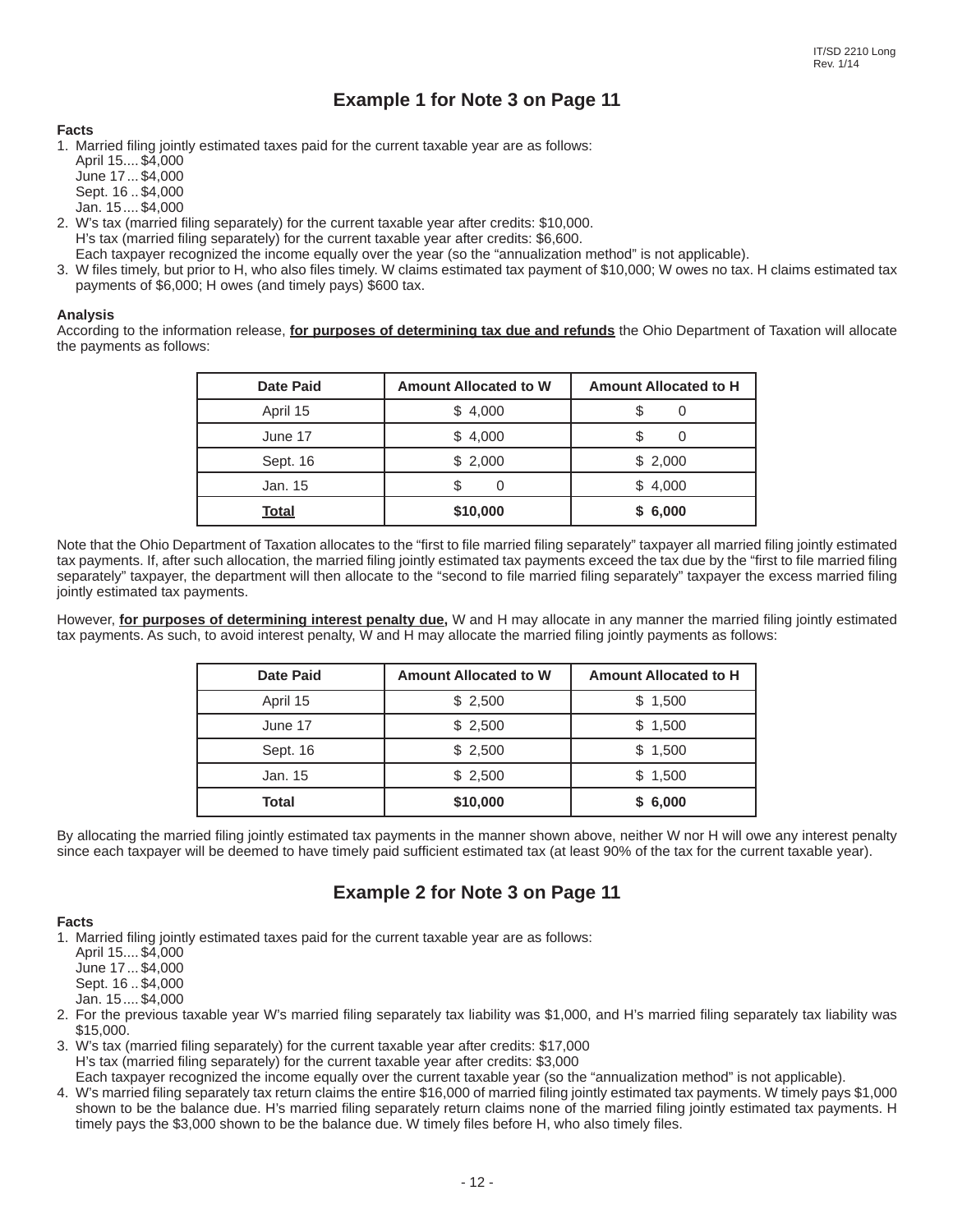# **Example 1 for Note 3 on Page 11**

### **Facts**

1. Married filing jointly estimated taxes paid for the current taxable year are as follows:

- April 15.... \$4,000 June 17 ... \$4,000 Sept. 16 .. \$4,000
- Jan. 15 .... \$4,000
- 2. W's tax (married filing separately) for the current taxable year after credits: \$10,000. H's tax (married filing separately) for the current taxable year after credits: \$6,600. Each taxpayer recognized the income equally over the year (so the "annualization method" is not applicable).
- 3. W files timely, but prior to H, who also files timely. W claims estimated tax payment of \$10,000; W owes no tax. H claims estimated tax payments of \$6,000; H owes (and timely pays) \$600 tax.

### **Analysis**

According to the information release, **for purposes of determining tax due and refunds** the Ohio Department of Taxation will allocate the payments as follows:

| <b>Date Paid</b> | <b>Amount Allocated to W</b> | Amount Allocated to H |
|------------------|------------------------------|-----------------------|
| April 15         | \$4,000                      |                       |
| June 17          | \$4,000                      |                       |
| Sept. 16         | \$2,000                      | \$2,000               |
| Jan. 15          |                              | \$4,000               |
| <b>Total</b>     | \$10,000                     | \$6,000               |

Note that the Ohio Department of Taxation allocates to the "first to file married filing separately" taxpayer all married filing jointly estimated tax payments. If, after such allocation, the married filing jointly estimated tax payments exceed the tax due by the "first to file married filing separately" taxpayer, the department will then allocate to the "second to file married filing separately" taxpayer the excess married filing jointly estimated tax payments.

However, for purposes of determining interest penalty due, W and H may allocate in any manner the married filing jointly estimated tax payments. As such, to avoid interest penalty, W and H may allocate the married filing jointly payments as follows:

| <b>Date Paid</b> | <b>Amount Allocated to W</b> | <b>Amount Allocated to H</b> |
|------------------|------------------------------|------------------------------|
| April 15         | \$2,500                      | \$1,500                      |
| June 17          | \$2,500                      | \$1,500                      |
| Sept. 16         | \$2,500                      | \$1,500                      |
| Jan. 15          | \$2,500                      | \$1,500                      |
| Total            | \$10,000                     | \$6,000                      |

By allocating the married filing jointly estimated tax payments in the manner shown above, neither W nor H will owe any interest penalty since each taxpayer will be deemed to have timely paid sufficient estimated tax (at least 90% of the tax for the current taxable year).

## **Example 2 for Note 3 on Page 11**

### **Facts**

1. Married filing jointly estimated taxes paid for the current taxable year are as follows:

April 15.... \$4,000

June 17 ... \$4,000

Sept. 16 .. \$4,000

Jan. 15 .... \$4,000

- 2. For the previous taxable year W's married filing separately tax liability was \$1,000, and H's married filing separately tax liability was \$15,000.
- 3. W's tax (married filing separately) for the current taxable year after credits: \$17,000 H's tax (married filing separately) for the current taxable year after credits: \$3,000 Each taxpayer recognized the income equally over the current taxable year (so the "annualization method" is not applicable).
- 4. W's married filing separately tax return claims the entire \$16,000 of married filing jointly estimated tax payments. W timely pays \$1,000 shown to be the balance due. H's married filing separately return claims none of the married filing jointly estimated tax payments. H timely pays the \$3,000 shown to be the balance due. W timely files before H, who also timely files.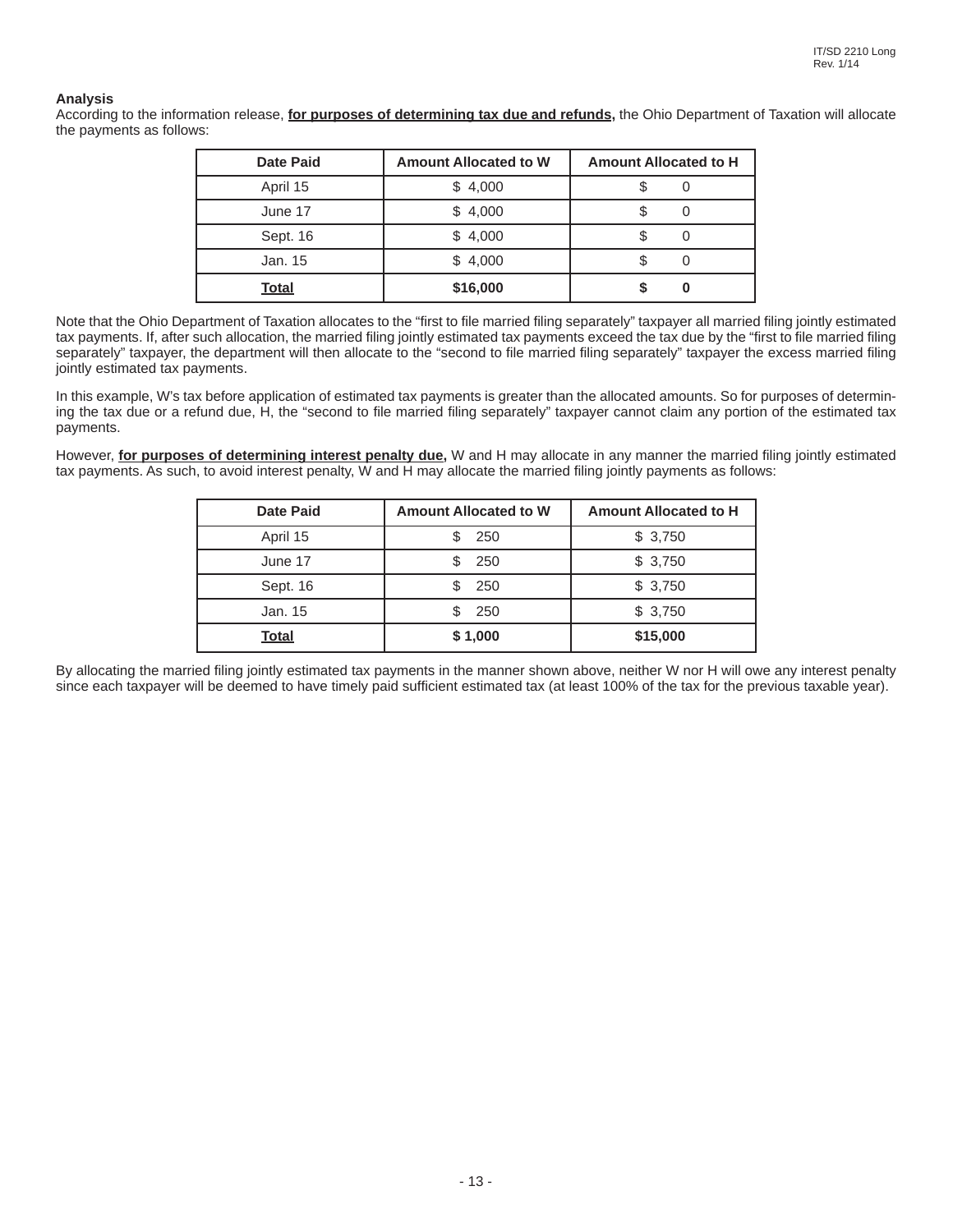### **Analysis**

According to the information release, **for purposes of determining tax due and refunds,** the Ohio Department of Taxation will allocate the payments as follows:

| <b>Date Paid</b> | <b>Amount Allocated to W</b> | <b>Amount Allocated to H</b> |
|------------------|------------------------------|------------------------------|
| April 15         | \$4,000                      |                              |
| June 17          | \$4,000                      |                              |
| Sept. 16         | \$4,000                      |                              |
| Jan. 15          | \$4,000                      |                              |
| <b>Total</b>     | \$16,000                     |                              |

Note that the Ohio Department of Taxation allocates to the "first to file married filing separately" taxpayer all married filing jointly estimated tax payments. If, after such allocation, the married filing jointly estimated tax payments exceed the tax due by the "first to file married filing separately" taxpayer, the department will then allocate to the "second to file married filing separately" taxpayer the excess married filing jointly estimated tax payments.

In this example, W's tax before application of estimated tax payments is greater than the allocated amounts. So for purposes of determining the tax due or a refund due, H, the "second to file married filing separately" taxpayer cannot claim any portion of the estimated tax payments.

However, **for purposes of determining interest penalty due**, W and H may allocate in any manner the married filing jointly estimated tax payments. As such, to avoid interest penalty, W and H may allocate the married filing jointly payments as follows:

| <b>Date Paid</b> | <b>Amount Allocated to W</b> | <b>Amount Allocated to H</b> |
|------------------|------------------------------|------------------------------|
| April 15         | 250                          | \$3,750                      |
| June 17          | 250                          | \$3,750                      |
| Sept. 16         | 250<br>\$                    | \$3,750                      |
| Jan. 15          | 250<br>\$                    | \$3,750                      |
| <b>Total</b>     | \$1,000                      | \$15,000                     |

By allocating the married filing jointly estimated tax payments in the manner shown above, neither W nor H will owe any interest penalty since each taxpayer will be deemed to have timely paid sufficient estimated tax (at least 100% of the tax for the previous taxable year).